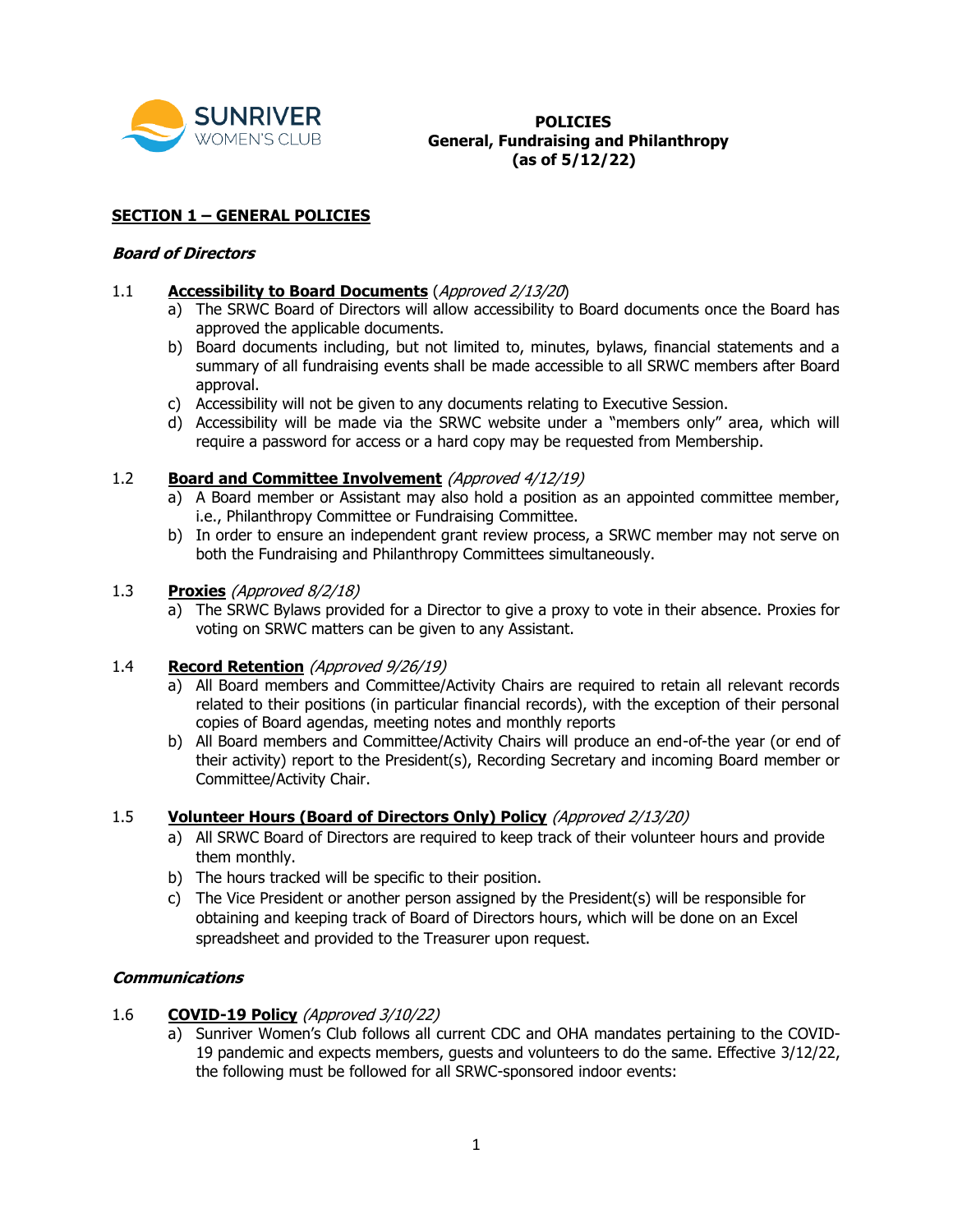

# **SUNRIVER**<br>WOMEN'S CLUB **Caneral Fundraising and General, Fundraising and Philanthropy (as of 5/12/22)**

### **SECTION 1 – GENERAL POLICIES**

#### **Board of Directors**

### 1.1 **Accessibility to Board Documents** (Approved 2/13/20)

- a) The SRWC Board of Directors will allow accessibility to Board documents once the Board has approved the applicable documents.
- b) Board documents including, but not limited to, minutes, bylaws, financial statements and a summary of all fundraising events shall be made accessible to all SRWC members after Board approval.
- c) Accessibility will not be given to any documents relating to Executive Session.
- d) Accessibility will be made via the SRWC website under a "members only" area, which will require a password for access or a hard copy may be requested from Membership.

# 1.2 **Board and Committee Involvement** (Approved 4/12/19)

- a) A Board member or Assistant may also hold a position as an appointed committee member, i.e., Philanthropy Committee or Fundraising Committee.
- b) In order to ensure an independent grant review process, a SRWC member may not serve on both the Fundraising and Philanthropy Committees simultaneously.

#### 1.3 **Proxies** (Approved 8/2/18)

a) The SRWC Bylaws provided for a Director to give a proxy to vote in their absence. Proxies for voting on SRWC matters can be given to any Assistant.

### 1.4 **Record Retention** (Approved 9/26/19)

- a) All Board members and Committee/Activity Chairs are required to retain all relevant records related to their positions (in particular financial records), with the exception of their personal copies of Board agendas, meeting notes and monthly reports
- b) All Board members and Committee/Activity Chairs will produce an end-of-the year (or end of their activity) report to the President(s), Recording Secretary and incoming Board member or Committee/Activity Chair.

# 1.5 **Volunteer Hours (Board of Directors Only) Policy** (Approved 2/13/20)

- a) All SRWC Board of Directors are required to keep track of their volunteer hours and provide them monthly.
- b) The hours tracked will be specific to their position.
- c) The Vice President or another person assigned by the President(s) will be responsible for obtaining and keeping track of Board of Directors hours, which will be done on an Excel spreadsheet and provided to the Treasurer upon request.

### **Communications**

### 1.6 **COVID-19 Policy** (Approved 3/10/22)

a) Sunriver Women's Club follows all current CDC and OHA mandates pertaining to the COVID-19 pandemic and expects members, guests and volunteers to do the same. Effective 3/12/22, the following must be followed for all SRWC-sponsored indoor events: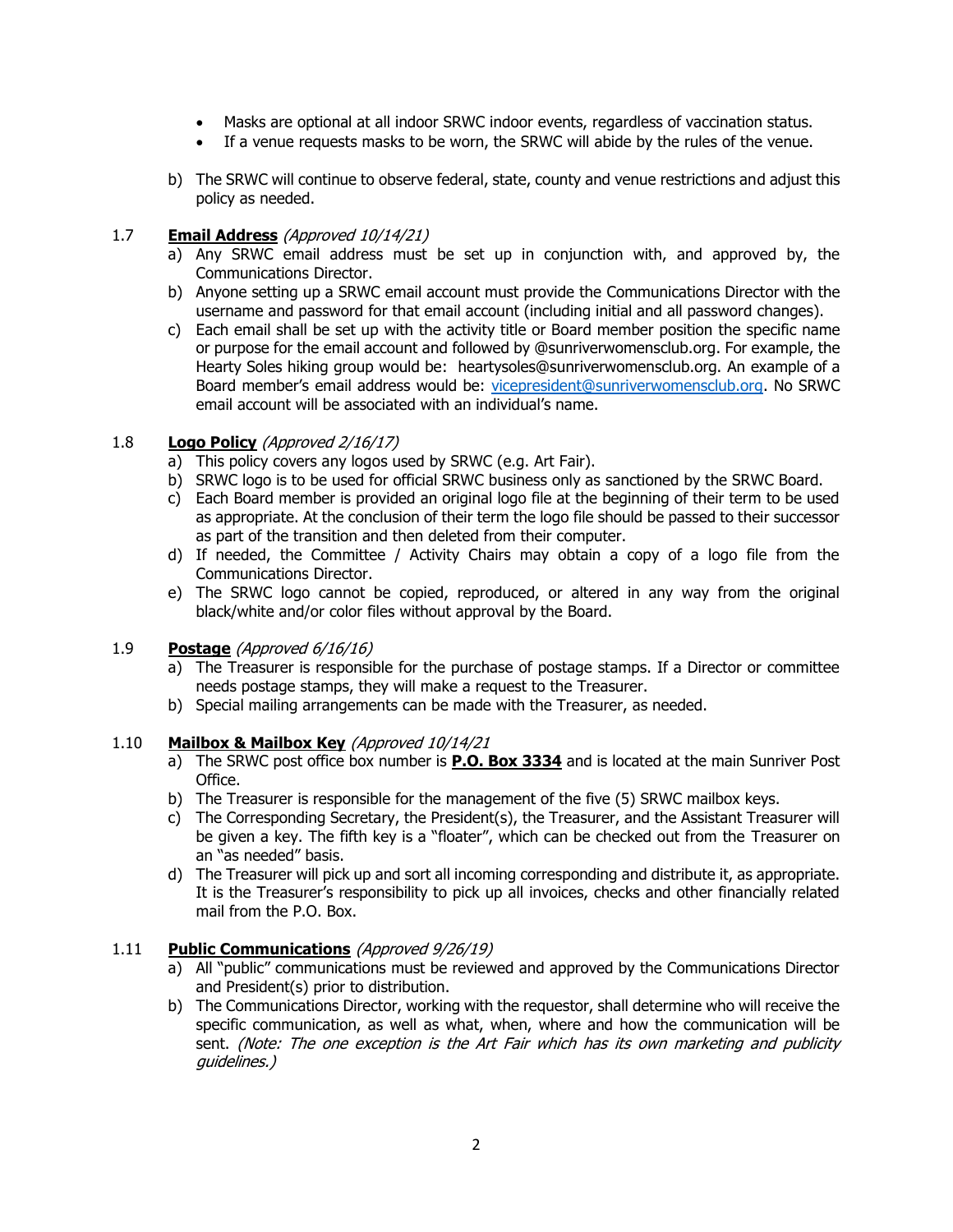- Masks are optional at all indoor SRWC indoor events, regardless of vaccination status.
- If a venue requests masks to be worn, the SRWC will abide by the rules of the venue.
- b) The SRWC will continue to observe federal, state, county and venue restrictions and adjust this policy as needed.

### 1.7 **Email Address** (Approved 10/14/21)

- a) Any SRWC email address must be set up in conjunction with, and approved by, the Communications Director.
- b) Anyone setting up a SRWC email account must provide the Communications Director with the username and password for that email account (including initial and all password changes).
- c) Each email shall be set up with the activity title or Board member position the specific name or purpose for the email account and followed by @sunriverwomensclub.org. For example, the Hearty Soles hiking group would be: heartysoles@sunriverwomensclub.org. An example of a Board member's email address would be: [vicepresident@sunriverwomensclub.org.](mailto:vicepresident@sunriverwomensclub.org) No SRWC email account will be associated with an individual's name.

# 1.8 **Logo Policy** (Approved 2/16/17)

- a) This policy covers any logos used by SRWC (e.g. Art Fair).
- b) SRWC logo is to be used for official SRWC business only as sanctioned by the SRWC Board.
- c) Each Board member is provided an original logo file at the beginning of their term to be used as appropriate. At the conclusion of their term the logo file should be passed to their successor as part of the transition and then deleted from their computer.
- d) If needed, the Committee / Activity Chairs may obtain a copy of a logo file from the Communications Director.
- e) The SRWC logo cannot be copied, reproduced, or altered in any way from the original black/white and/or color files without approval by the Board.

### 1.9 **Postage** (Approved 6/16/16)

- a) The Treasurer is responsible for the purchase of postage stamps. If a Director or committee needs postage stamps, they will make a request to the Treasurer.
- b) Special mailing arrangements can be made with the Treasurer, as needed.

### 1.10 **Mailbox & Mailbox Key** (Approved 10/14/21

- a) The SRWC post office box number is **P.O. Box 3334** and is located at the main Sunriver Post Office.
- b) The Treasurer is responsible for the management of the five (5) SRWC mailbox keys.
- c) The Corresponding Secretary, the President(s), the Treasurer, and the Assistant Treasurer will be given a key. The fifth key is a "floater", which can be checked out from the Treasurer on an "as needed" basis.
- d) The Treasurer will pick up and sort all incoming corresponding and distribute it, as appropriate. It is the Treasurer's responsibility to pick up all invoices, checks and other financially related mail from the P.O. Box.

### 1.11 **Public Communications** (Approved 9/26/19)

- a) All "public" communications must be reviewed and approved by the Communications Director and President(s) prior to distribution.
- b) The Communications Director, working with the requestor, shall determine who will receive the specific communication, as well as what, when, where and how the communication will be sent. (Note: The one exception is the Art Fair which has its own marketing and publicity guidelines.)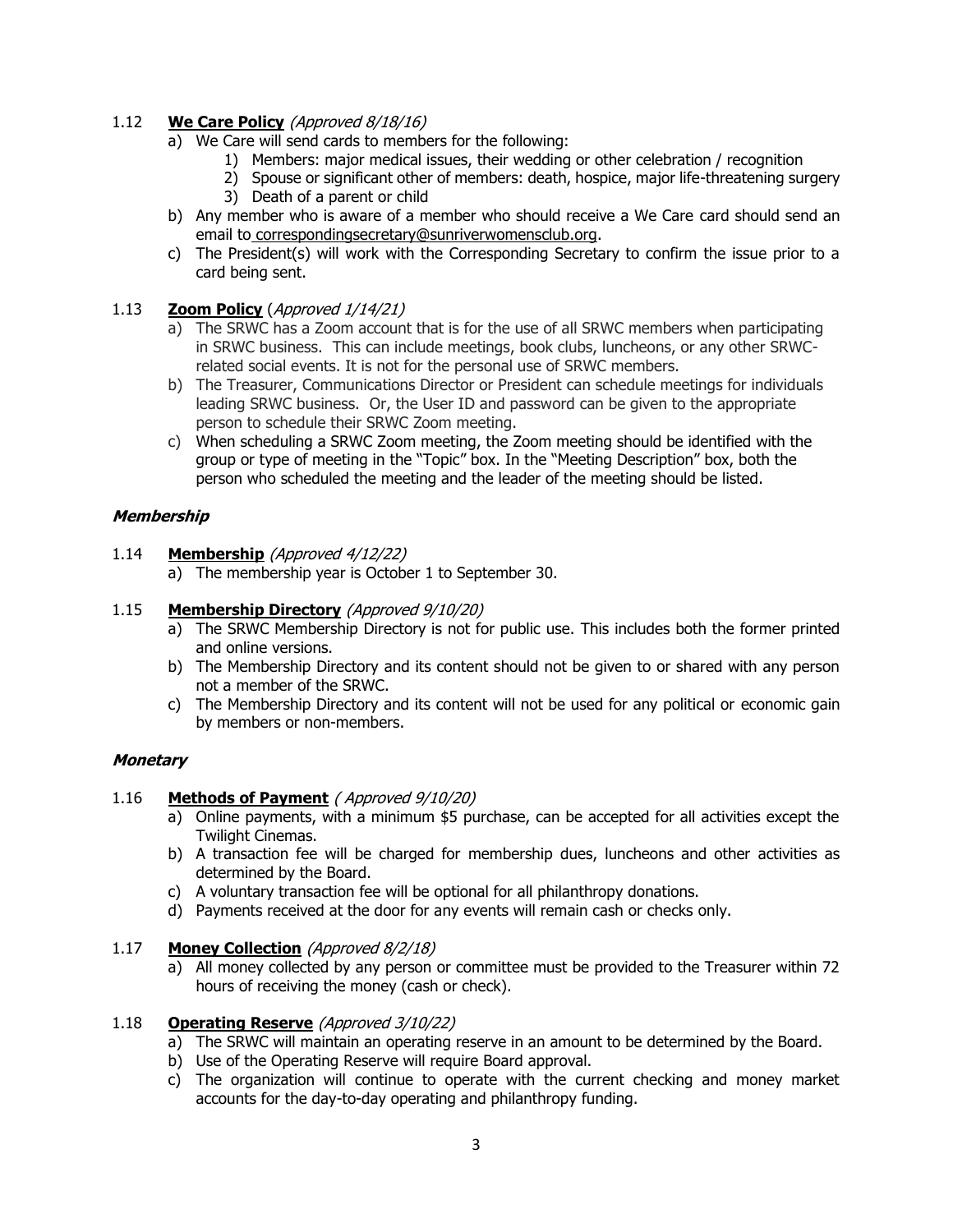# 1.12 **We Care Policy** (Approved 8/18/16)

- a) We Care will send cards to members for the following:
	- 1) Members: major medical issues, their wedding or other celebration / recognition
	- 2) Spouse or significant other of members: death, hospice, major life-threatening surgery
	- 3) Death of a parent or child
- b) Any member who is aware of a member who should receive a We Care card should send an email to correspondingsecretary@sunriverwomensclub.org.
- c) The President(s) will work with the Corresponding Secretary to confirm the issue prior to a card being sent.

# 1.13 **Zoom Policy** (Approved 1/14/21)

- a) The SRWC has a Zoom account that is for the use of all SRWC members when participating in SRWC business. This can include meetings, book clubs, luncheons, or any other SRWCrelated social events. It is not for the personal use of SRWC members.
- b) The Treasurer, Communications Director or President can schedule meetings for individuals leading SRWC business. Or, the User ID and password can be given to the appropriate person to schedule their SRWC Zoom meeting.
- c) When scheduling a SRWC Zoom meeting, the Zoom meeting should be identified with the group or type of meeting in the "Topic" box. In the "Meeting Description" box, both the person who scheduled the meeting and the leader of the meeting should be listed.

# **Membership**

- 1.14 **Membership** (Approved 4/12/22)
	- a) The membership year is October 1 to September 30.

### 1.15 **Membership Directory** (Approved 9/10/20)

- a) The SRWC Membership Directory is not for public use. This includes both the former printed and online versions.
- b) The Membership Directory and its content should not be given to or shared with any person not a member of the SRWC.
- c) The Membership Directory and its content will not be used for any political or economic gain by members or non-members.

### **Monetary**

### 1.16 **Methods of Payment** ( Approved 9/10/20)

- a) Online payments, with a minimum \$5 purchase, can be accepted for all activities except the Twilight Cinemas.
- b) A transaction fee will be charged for membership dues, luncheons and other activities as determined by the Board.
- c) A voluntary transaction fee will be optional for all philanthropy donations.
- d) Payments received at the door for any events will remain cash or checks only.

### 1.17 **Money Collection** (Approved 8/2/18)

a) All money collected by any person or committee must be provided to the Treasurer within 72 hours of receiving the money (cash or check).

### 1.18 **Operating Reserve** (Approved 3/10/22)

- a) The SRWC will maintain an operating reserve in an amount to be determined by the Board.
- b) Use of the Operating Reserve will require Board approval.
- c) The organization will continue to operate with the current checking and money market accounts for the day-to-day operating and philanthropy funding.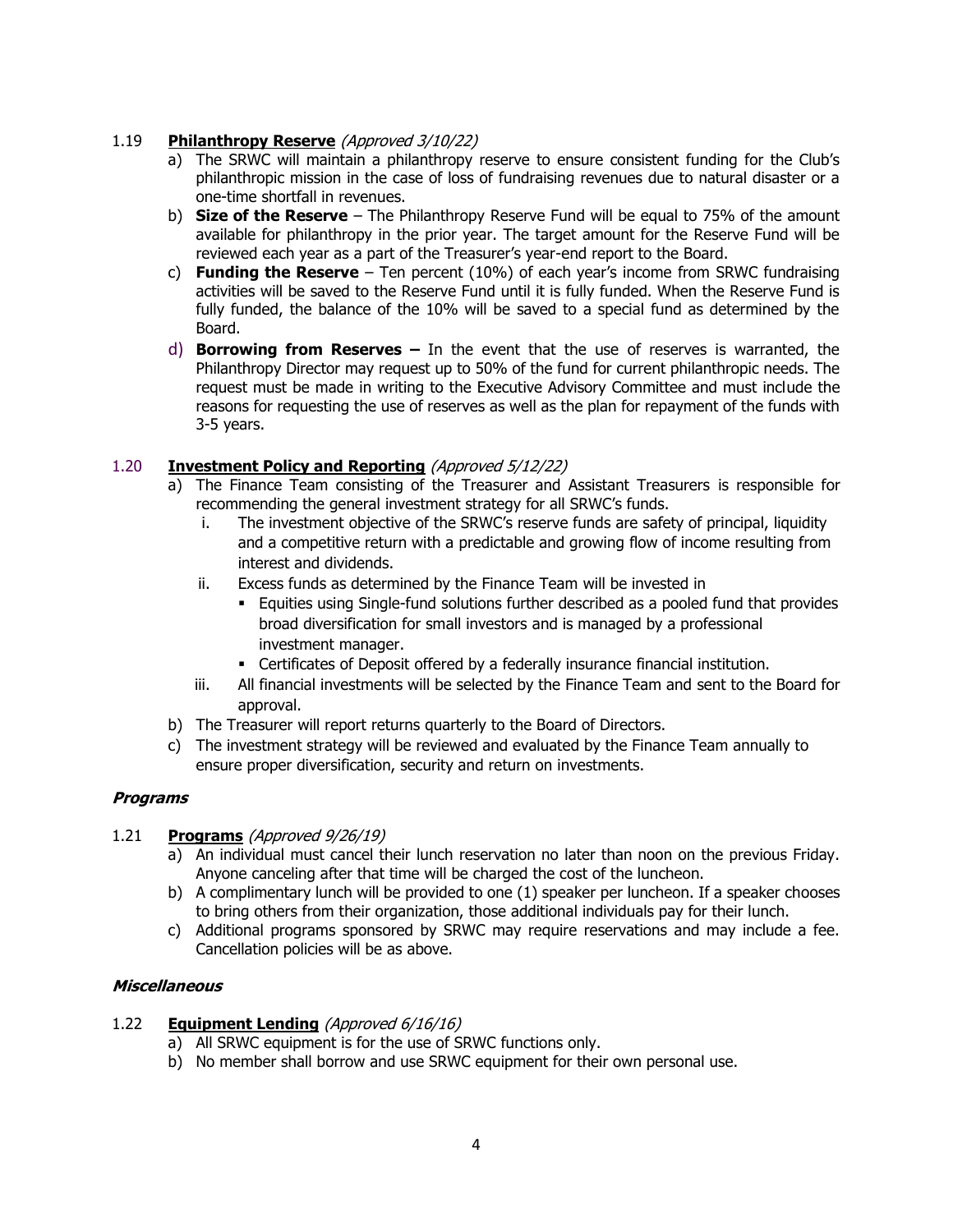# 1.19 **Philanthropy Reserve** (Approved 3/10/22)

- a) The SRWC will maintain a philanthropy reserve to ensure consistent funding for the Club's philanthropic mission in the case of loss of fundraising revenues due to natural disaster or a one-time shortfall in revenues.
- b) **Size of the Reserve** The Philanthropy Reserve Fund will be equal to 75% of the amount available for philanthropy in the prior year. The target amount for the Reserve Fund will be reviewed each year as a part of the Treasurer's year-end report to the Board.
- c) **Funding the Reserve** Ten percent (10%) of each year's income from SRWC fundraising activities will be saved to the Reserve Fund until it is fully funded. When the Reserve Fund is fully funded, the balance of the 10% will be saved to a special fund as determined by the Board.
- d) **Borrowing from Reserves –** In the event that the use of reserves is warranted, the Philanthropy Director may request up to 50% of the fund for current philanthropic needs. The request must be made in writing to the Executive Advisory Committee and must include the reasons for requesting the use of reserves as well as the plan for repayment of the funds with 3-5 years.

# 1.20 **Investment Policy and Reporting** (Approved 5/12/22)

- a) The Finance Team consisting of the Treasurer and Assistant Treasurers is responsible for recommending the general investment strategy for all SRWC's funds.
	- i. The investment objective of the SRWC's reserve funds are safety of principal, liquidity and a competitive return with a predictable and growing flow of income resulting from interest and dividends.
	- ii. Excess funds as determined by the Finance Team will be invested in
		- **Equities using Single-fund solutions further described as a pooled fund that provides** broad diversification for small investors and is managed by a professional investment manager.
		- **•** Certificates of Deposit offered by a federally insurance financial institution.
	- iii. All financial investments will be selected by the Finance Team and sent to the Board for approval.
- b) The Treasurer will report returns quarterly to the Board of Directors.
- c) The investment strategy will be reviewed and evaluated by the Finance Team annually to ensure proper diversification, security and return on investments.

### **Programs**

### 1.21 **Programs** (Approved 9/26/19)

- a) An individual must cancel their lunch reservation no later than noon on the previous Friday. Anyone canceling after that time will be charged the cost of the luncheon.
- b) A complimentary lunch will be provided to one (1) speaker per luncheon. If a speaker chooses to bring others from their organization, those additional individuals pay for their lunch.
- c) Additional programs sponsored by SRWC may require reservations and may include a fee. Cancellation policies will be as above.

### **Miscellaneous**

### 1.22 **Equipment Lending** (Approved 6/16/16)

- a) All SRWC equipment is for the use of SRWC functions only.
- b) No member shall borrow and use SRWC equipment for their own personal use.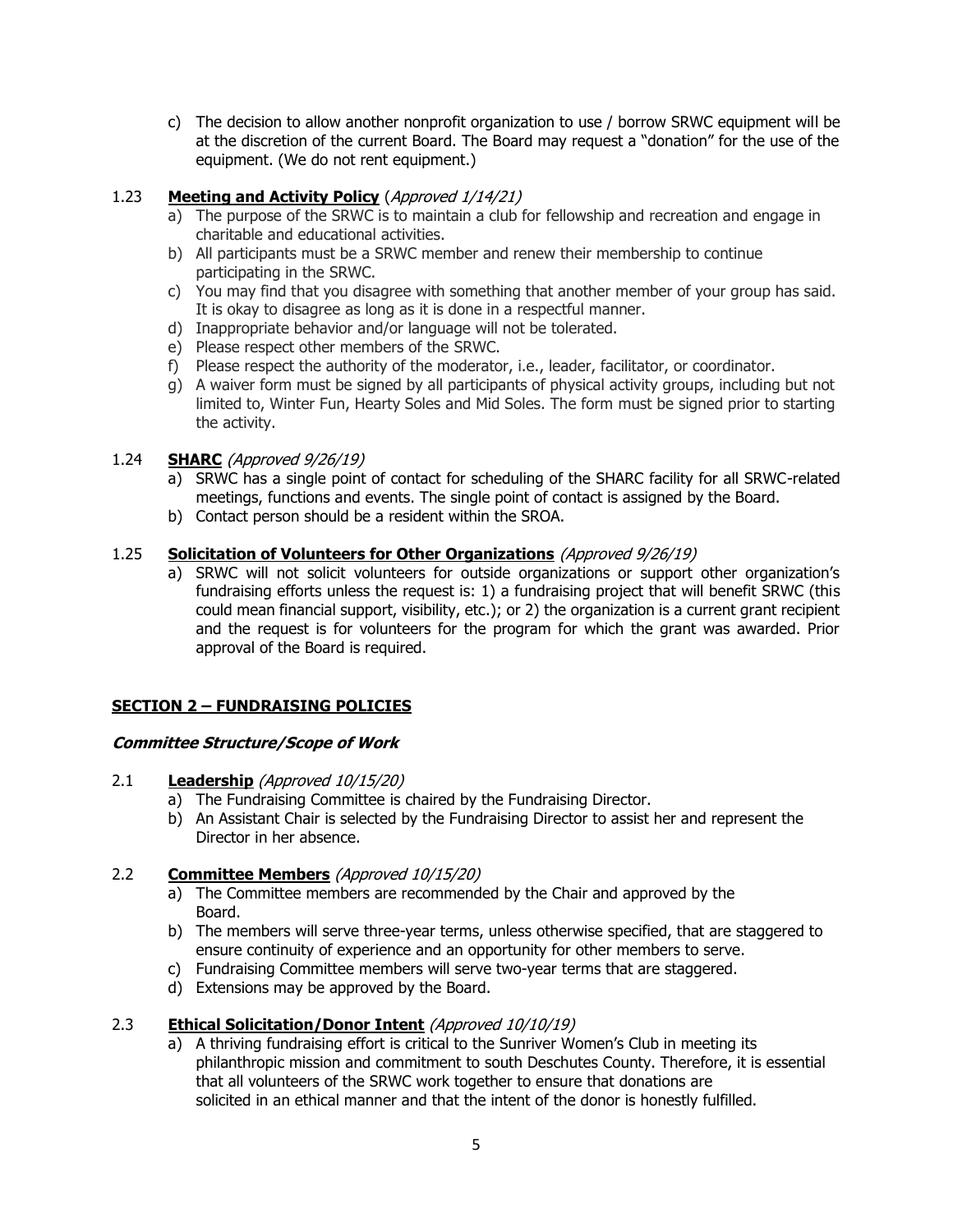c) The decision to allow another nonprofit organization to use / borrow SRWC equipment will be at the discretion of the current Board. The Board may request a "donation" for the use of the equipment. (We do not rent equipment.)

# 1.23 **Meeting and Activity Policy** (Approved 1/14/21)

- a) The purpose of the SRWC is to maintain a club for fellowship and recreation and engage in charitable and educational activities.
- b) All participants must be a SRWC member and renew their membership to continue participating in the SRWC.
- c) You may find that you disagree with something that another member of your group has said. It is okay to disagree as long as it is done in a respectful manner.
- d) Inappropriate behavior and/or language will not be tolerated.
- e) Please respect other members of the SRWC.
- f) Please respect the authority of the moderator, i.e., leader, facilitator, or coordinator.
- g) A waiver form must be signed by all participants of physical activity groups, including but not limited to, Winter Fun, Hearty Soles and Mid Soles. The form must be signed prior to starting the activity.

# 1.24 **SHARC** (Approved 9/26/19)

- a) SRWC has a single point of contact for scheduling of the SHARC facility for all SRWC-related meetings, functions and events. The single point of contact is assigned by the Board.
- b) Contact person should be a resident within the SROA.

# 1.25 **Solicitation of Volunteers for Other Organizations** (Approved 9/26/19)

a) SRWC will not solicit volunteers for outside organizations or support other organization's fundraising efforts unless the request is: 1) a fundraising project that will benefit SRWC (this could mean financial support, visibility, etc.); or 2) the organization is a current grant recipient and the request is for volunteers for the program for which the grant was awarded. Prior approval of the Board is required.

# **SECTION 2 – FUNDRAISING POLICIES**

### **Committee Structure/Scope of Work**

### 2.1 **Leadership** (Approved 10/15/20)

- a) The Fundraising Committee is chaired by the Fundraising Director.
- b) An Assistant Chair is selected by the Fundraising Director to assist her and represent the Director in her absence.

# 2.2 **Committee Members** (Approved 10/15/20)

- a) The Committee members are recommended by the Chair and approved by the Board.
- b) The members will serve three-year terms, unless otherwise specified, that are staggered to ensure continuity of experience and an opportunity for other members to serve.
- c) Fundraising Committee members will serve two-year terms that are staggered.
- d) Extensions may be approved by the Board.

### 2.3 **Ethical Solicitation/Donor Intent** (Approved 10/10/19)

a) A thriving fundraising effort is critical to the Sunriver Women's Club in meeting its philanthropic mission and commitment to south Deschutes County. Therefore, it is essential that all volunteers of the SRWC work together to ensure that donations are solicited in an ethical manner and that the intent of the donor is honestly fulfilled.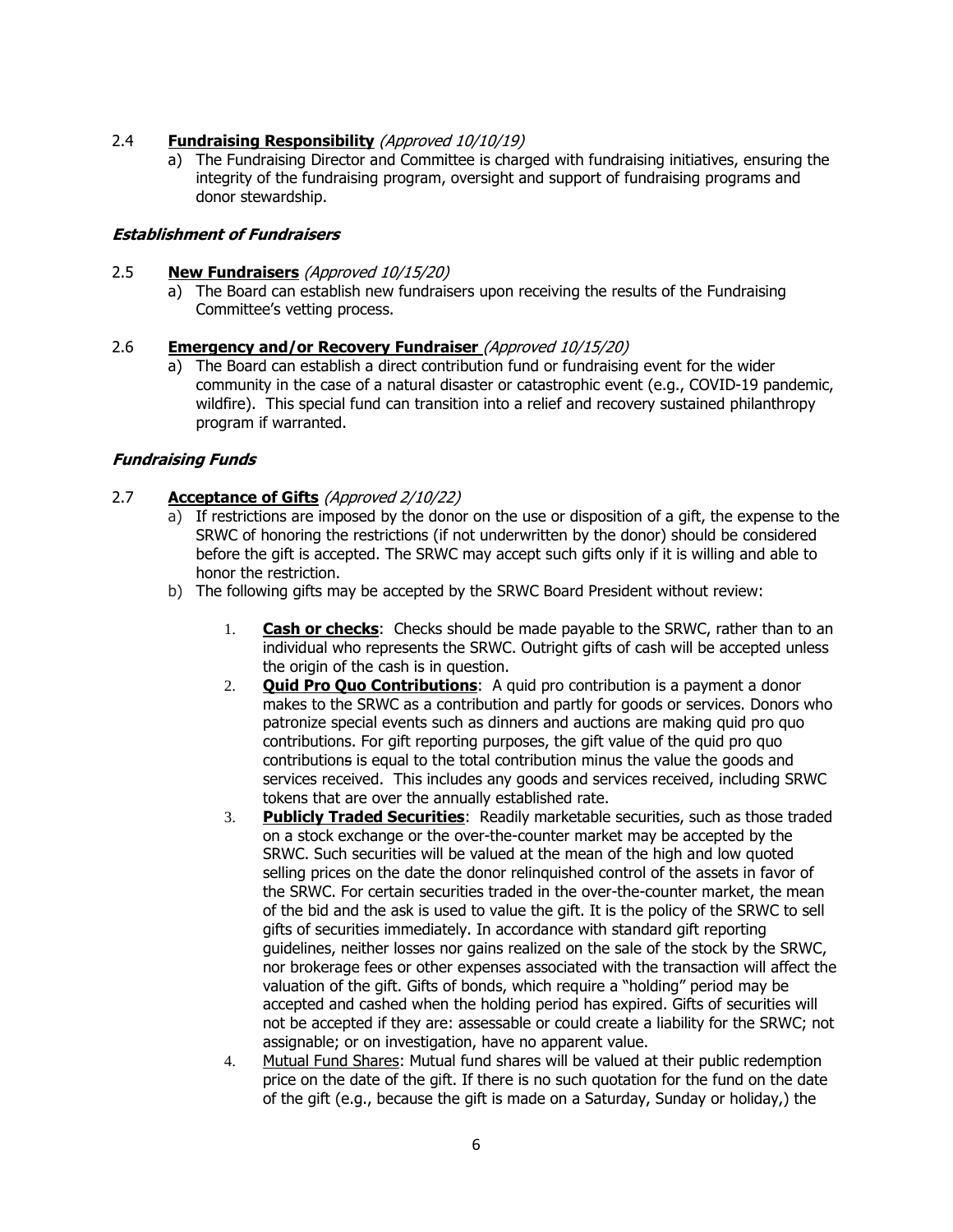# 2.4 **Fundraising Responsibility** (Approved 10/10/19)

a) The Fundraising Director and Committee is charged with fundraising initiatives, ensuring the integrity of the fundraising program, oversight and support of fundraising programs and donor stewardship.

### **Establishment of Fundraisers**

### 2.5 **New Fundraisers** (Approved 10/15/20)

a) The Board can establish new fundraisers upon receiving the results of the Fundraising Committee's vetting process.

#### 2.6 **Emergency and/or Recovery Fundraiser** (Approved 10/15/20)

a) The Board can establish a direct contribution fund or fundraising event for the wider community in the case of a natural disaster or catastrophic event (e.g., COVID-19 pandemic, wildfire). This special fund can transition into a relief and recovery sustained philanthropy program if warranted.

### **Fundraising Funds**

### 2.7 **Acceptance of Gifts** (Approved 2/10/22)

- a) If restrictions are imposed by the donor on the use or disposition of a gift, the expense to the SRWC of honoring the restrictions (if not underwritten by the donor) should be considered before the gift is accepted. The SRWC may accept such gifts only if it is willing and able to honor the restriction.
- b) The following gifts may be accepted by the SRWC Board President without review:
	- 1. **Cash or checks**: Checks should be made payable to the SRWC, rather than to an individual who represents the SRWC. Outright gifts of cash will be accepted unless the origin of the cash is in question.
	- 2. **Quid Pro Quo Contributions**: A quid pro contribution is a payment a donor makes to the SRWC as a contribution and partly for goods or services. Donors who patronize special events such as dinners and auctions are making quid pro quo contributions. For gift reporting purposes, the gift value of the quid pro quo contributions is equal to the total contribution minus the value the goods and services received. This includes any goods and services received, including SRWC tokens that are over the annually established rate.
	- 3. **Publicly Traded Securities**: Readily marketable securities, such as those traded on a stock exchange or the over-the-counter market may be accepted by the SRWC. Such securities will be valued at the mean of the high and low quoted selling prices on the date the donor relinquished control of the assets in favor of the SRWC. For certain securities traded in the over-the-counter market, the mean of the bid and the ask is used to value the gift. It is the policy of the SRWC to sell gifts of securities immediately. In accordance with standard gift reporting guidelines, neither losses nor gains realized on the sale of the stock by the SRWC, nor brokerage fees or other expenses associated with the transaction will affect the valuation of the gift. Gifts of bonds, which require a "holding" period may be accepted and cashed when the holding period has expired. Gifts of securities will not be accepted if they are: assessable or could create a liability for the SRWC; not assignable; or on investigation, have no apparent value.
	- 4. Mutual Fund Shares: Mutual fund shares will be valued at their public redemption price on the date of the gift. If there is no such quotation for the fund on the date of the gift (e.g., because the gift is made on a Saturday, Sunday or holiday,) the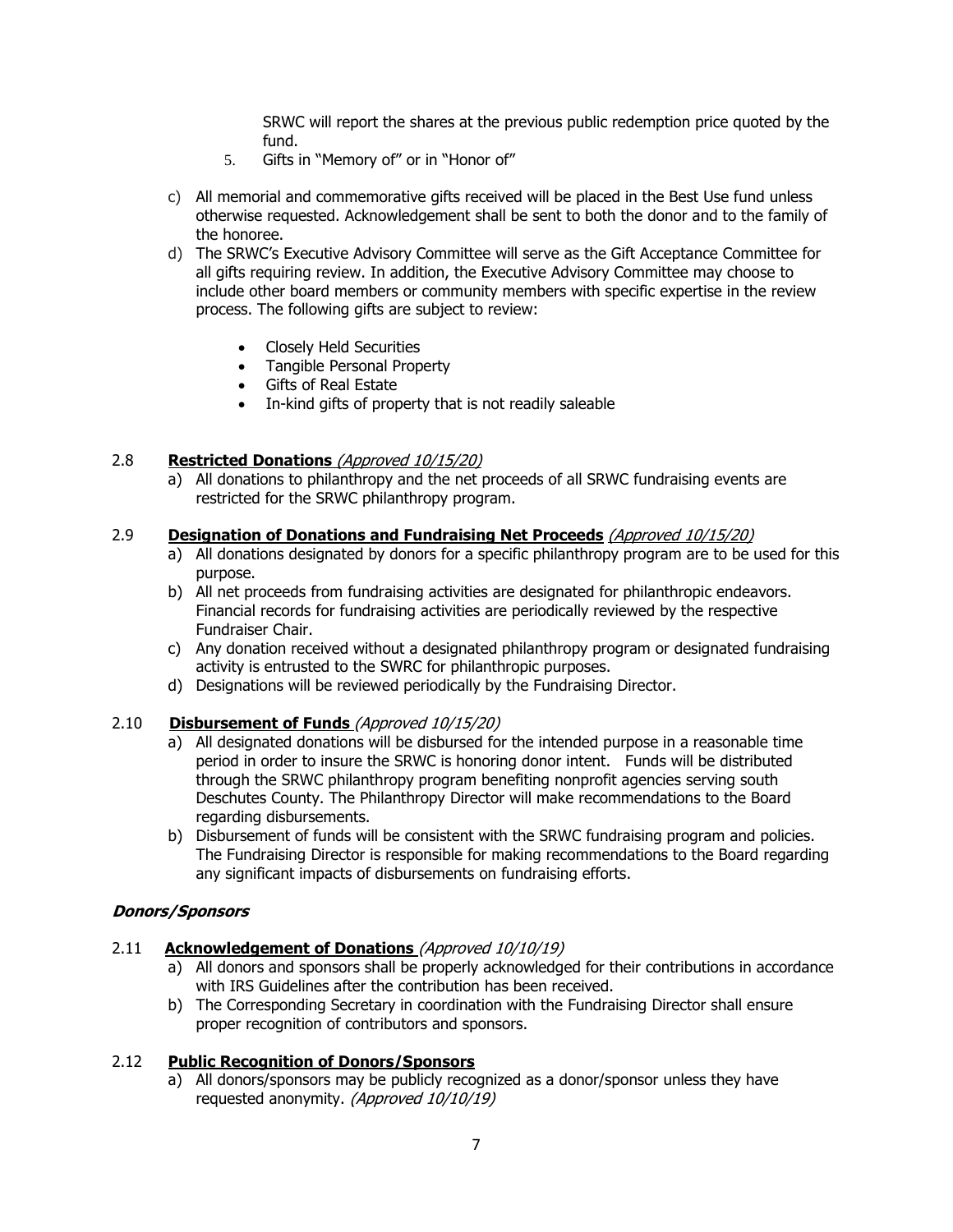SRWC will report the shares at the previous public redemption price quoted by the fund.

- 5. Gifts in "Memory of" or in "Honor of"
- c) All memorial and commemorative gifts received will be placed in the Best Use fund unless otherwise requested. Acknowledgement shall be sent to both the donor and to the family of the honoree.
- d) The SRWC's Executive Advisory Committee will serve as the Gift Acceptance Committee for all gifts requiring review. In addition, the Executive Advisory Committee may choose to include other board members or community members with specific expertise in the review process. The following gifts are subject to review:
	- Closely Held Securities
	- Tangible Personal Property
	- Gifts of Real Estate
	- In-kind gifts of property that is not readily saleable

#### 2.8 **Restricted Donations** (Approved 10/15/20)

a) All donations to philanthropy and the net proceeds of all SRWC fundraising events are restricted for the SRWC philanthropy program.

#### 2.9 **Designation of Donations and Fundraising Net Proceeds** (Approved 10/15/20)

- a) All donations designated by donors for a specific philanthropy program are to be used for this purpose.
- b) All net proceeds from fundraising activities are designated for philanthropic endeavors. Financial records for fundraising activities are periodically reviewed by the respective Fundraiser Chair.
- c) Any donation received without a designated philanthropy program or designated fundraising activity is entrusted to the SWRC for philanthropic purposes.
- d) Designations will be reviewed periodically by the Fundraising Director.

#### 2.10 **Disbursement of Funds** (Approved 10/15/20)

- a) All designated donations will be disbursed for the intended purpose in a reasonable time period in order to insure the SRWC is honoring donor intent. Funds will be distributed through the SRWC philanthropy program benefiting nonprofit agencies serving south Deschutes County. The Philanthropy Director will make recommendations to the Board regarding disbursements.
- b) Disbursement of funds will be consistent with the SRWC fundraising program and policies. The Fundraising Director is responsible for making recommendations to the Board regarding any significant impacts of disbursements on fundraising efforts.

#### **Donors/Sponsors**

- 2.11 **Acknowledgement of Donations** (Approved 10/10/19)
	- a) All donors and sponsors shall be properly acknowledged for their contributions in accordance with IRS Guidelines after the contribution has been received.
	- b) The Corresponding Secretary in coordination with the Fundraising Director shall ensure proper recognition of contributors and sponsors.

### 2.12 **Public Recognition of Donors/Sponsors**

a) All donors/sponsors may be publicly recognized as a donor/sponsor unless they have requested anonymity. (Approved 10/10/19)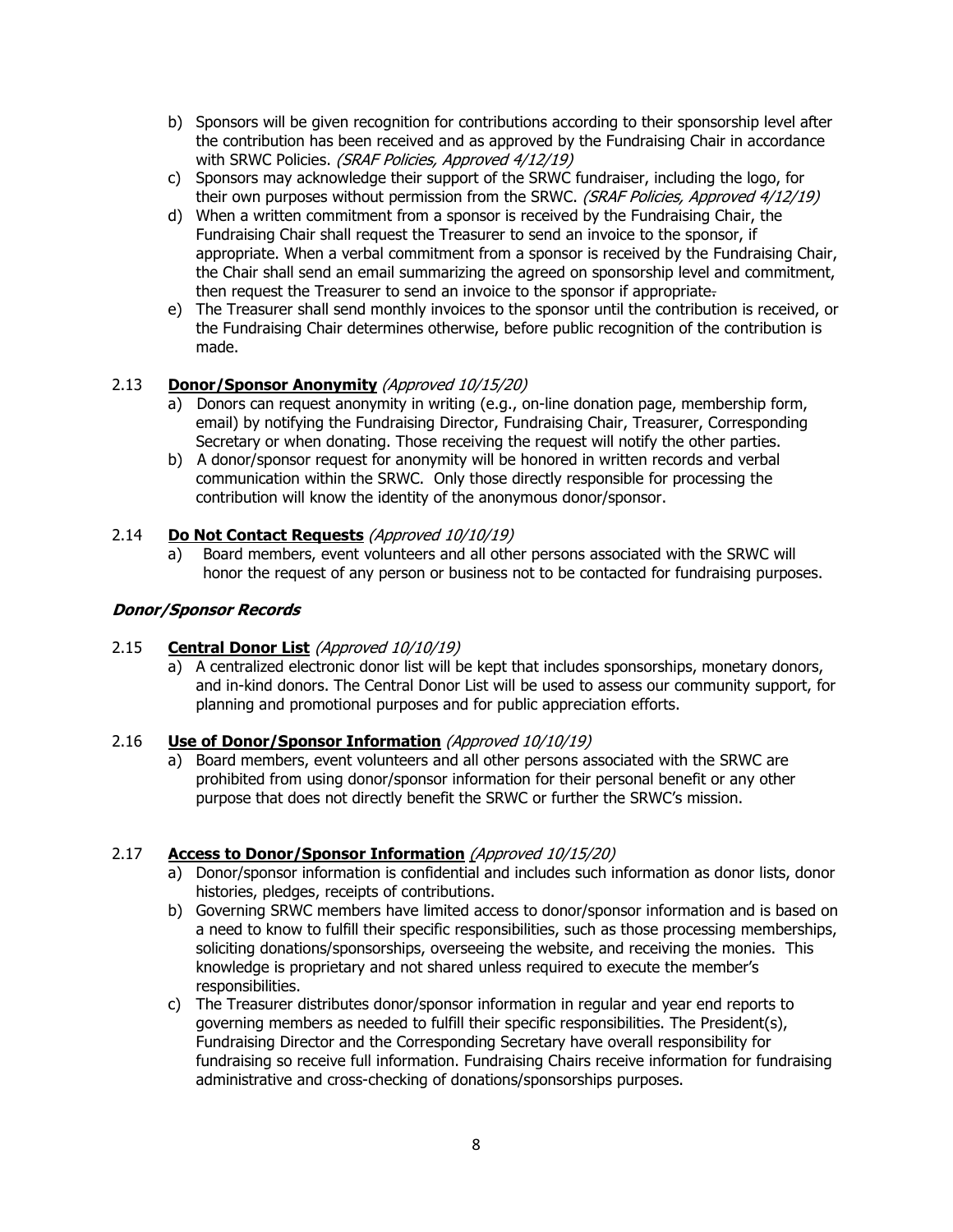- b) Sponsors will be given recognition for contributions according to their sponsorship level after the contribution has been received and as approved by the Fundraising Chair in accordance with SRWC Policies. (SRAF Policies, Approved 4/12/19)
- c) Sponsors may acknowledge their support of the SRWC fundraiser, including the logo, for their own purposes without permission from the SRWC. (SRAF Policies, Approved 4/12/19)
- d) When a written commitment from a sponsor is received by the Fundraising Chair, the Fundraising Chair shall request the Treasurer to send an invoice to the sponsor, if appropriate. When a verbal commitment from a sponsor is received by the Fundraising Chair, the Chair shall send an email summarizing the agreed on sponsorship level and commitment, then request the Treasurer to send an invoice to the sponsor if appropriate-
- e) The Treasurer shall send monthly invoices to the sponsor until the contribution is received, or the Fundraising Chair determines otherwise, before public recognition of the contribution is made.

# 2.13 **Donor/Sponsor Anonymity** (Approved 10/15/20)

- a) Donors can request anonymity in writing (e.g., on-line donation page, membership form, email) by notifying the Fundraising Director, Fundraising Chair, Treasurer, Corresponding Secretary or when donating. Those receiving the request will notify the other parties.
- b) A donor/sponsor request for anonymity will be honored in written records and verbal communication within the SRWC. Only those directly responsible for processing the contribution will know the identity of the anonymous donor/sponsor.

# 2.14 **Do Not Contact Requests** (Approved 10/10/19)

a) Board members, event volunteers and all other persons associated with the SRWC will honor the request of any person or business not to be contacted for fundraising purposes.

# **Donor/Sponsor Records**

# 2.15 **Central Donor List** (Approved 10/10/19)

a) A centralized electronic donor list will be kept that includes sponsorships, monetary donors, and in-kind donors. The Central Donor List will be used to assess our community support, for planning and promotional purposes and for public appreciation efforts.

# 2.16 **Use of Donor/Sponsor Information** (Approved 10/10/19)

a) Board members, event volunteers and all other persons associated with the SRWC are prohibited from using donor/sponsor information for their personal benefit or any other purpose that does not directly benefit the SRWC or further the SRWC's mission.

# 2.17 **Access to Donor/Sponsor Information** (Approved 10/15/20)

- a) Donor/sponsor information is confidential and includes such information as donor lists, donor histories, pledges, receipts of contributions.
- b) Governing SRWC members have limited access to donor/sponsor information and is based on a need to know to fulfill their specific responsibilities, such as those processing memberships, soliciting donations/sponsorships, overseeing the website, and receiving the monies. This knowledge is proprietary and not shared unless required to execute the member's responsibilities.
- c) The Treasurer distributes donor/sponsor information in regular and year end reports to governing members as needed to fulfill their specific responsibilities. The President(s), Fundraising Director and the Corresponding Secretary have overall responsibility for fundraising so receive full information. Fundraising Chairs receive information for fundraising administrative and cross-checking of donations/sponsorships purposes.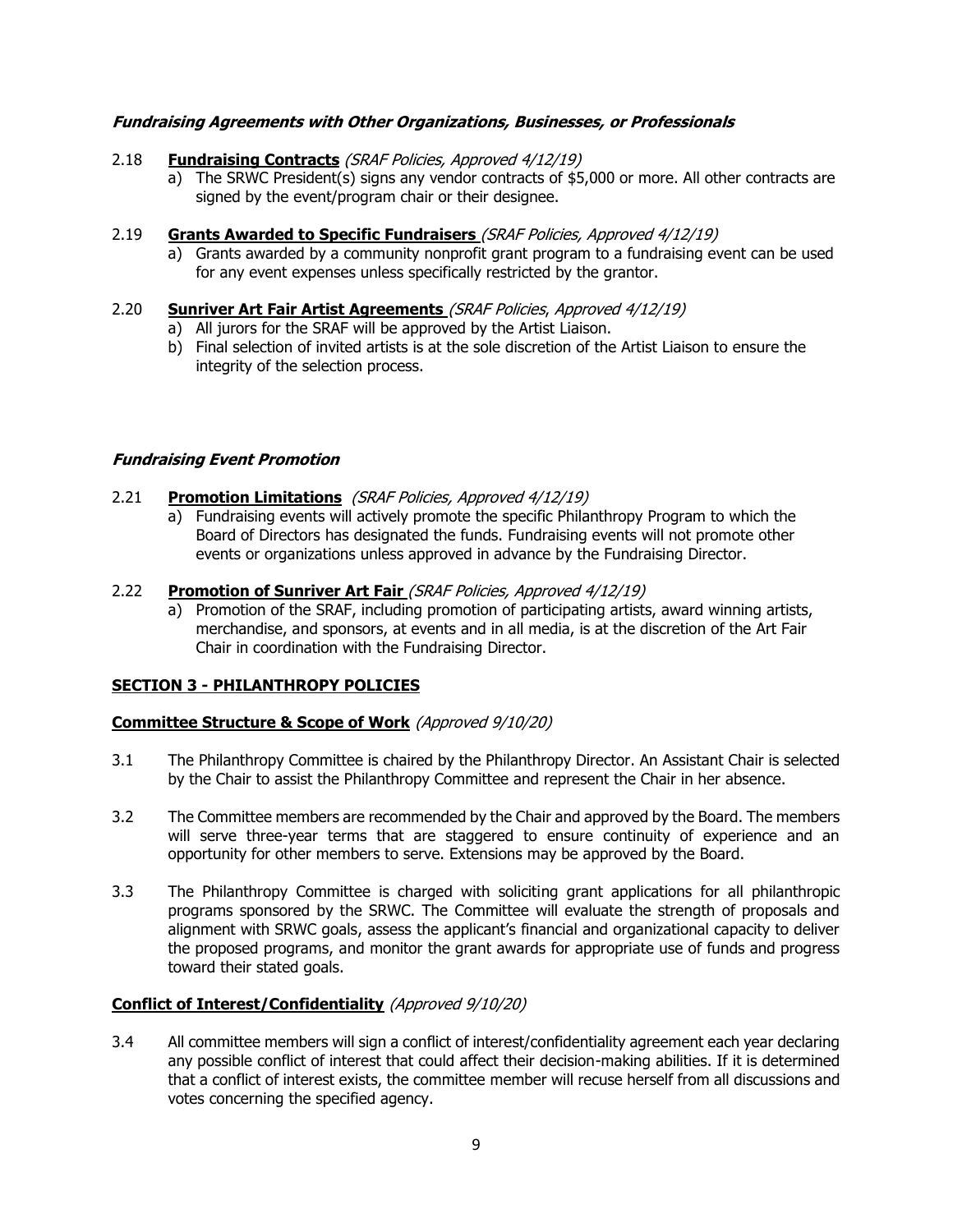### **Fundraising Agreements with Other Organizations, Businesses, or Professionals**

### 2.18 **Fundraising Contracts** (SRAF Policies, Approved 4/12/19)

a) The SRWC President(s) signs any vendor contracts of \$5,000 or more. All other contracts are signed by the event/program chair or their designee.

### 2.19 **Grants Awarded to Specific Fundraisers** (SRAF Policies, Approved 4/12/19)

a) Grants awarded by a community nonprofit grant program to a fundraising event can be used for any event expenses unless specifically restricted by the grantor.

### 2.20 **Sunriver Art Fair Artist Agreements** (SRAF Policies, Approved 4/12/19)

- a) All jurors for the SRAF will be approved by the Artist Liaison.
- b) Final selection of invited artists is at the sole discretion of the Artist Liaison to ensure the integrity of the selection process.

### **Fundraising Event Promotion**

# 2.21 **Promotion Limitations** (SRAF Policies, Approved 4/12/19)

a) Fundraising events will actively promote the specific Philanthropy Program to which the Board of Directors has designated the funds. Fundraising events will not promote other events or organizations unless approved in advance by the Fundraising Director.

# 2.22 **Promotion of Sunriver Art Fair** (SRAF Policies, Approved 4/12/19)

a) Promotion of the SRAF, including promotion of participating artists, award winning artists, merchandise, and sponsors, at events and in all media, is at the discretion of the Art Fair Chair in coordination with the Fundraising Director.

# **SECTION 3 - PHILANTHROPY POLICIES**

### **Committee Structure & Scope of Work** (Approved 9/10/20)

- 3.1 The Philanthropy Committee is chaired by the Philanthropy Director. An Assistant Chair is selected by the Chair to assist the Philanthropy Committee and represent the Chair in her absence.
- 3.2 The Committee members are recommended by the Chair and approved by the Board. The members will serve three-year terms that are staggered to ensure continuity of experience and an opportunity for other members to serve. Extensions may be approved by the Board.
- 3.3 The Philanthropy Committee is charged with soliciting grant applications for all philanthropic programs sponsored by the SRWC. The Committee will evaluate the strength of proposals and alignment with SRWC goals, assess the applicant's financial and organizational capacity to deliver the proposed programs, and monitor the grant awards for appropriate use of funds and progress toward their stated goals.

# **Conflict of Interest/Confidentiality** (Approved 9/10/20)

3.4 All committee members will sign a conflict of interest/confidentiality agreement each year declaring any possible conflict of interest that could affect their decision-making abilities. If it is determined that a conflict of interest exists, the committee member will recuse herself from all discussions and votes concerning the specified agency.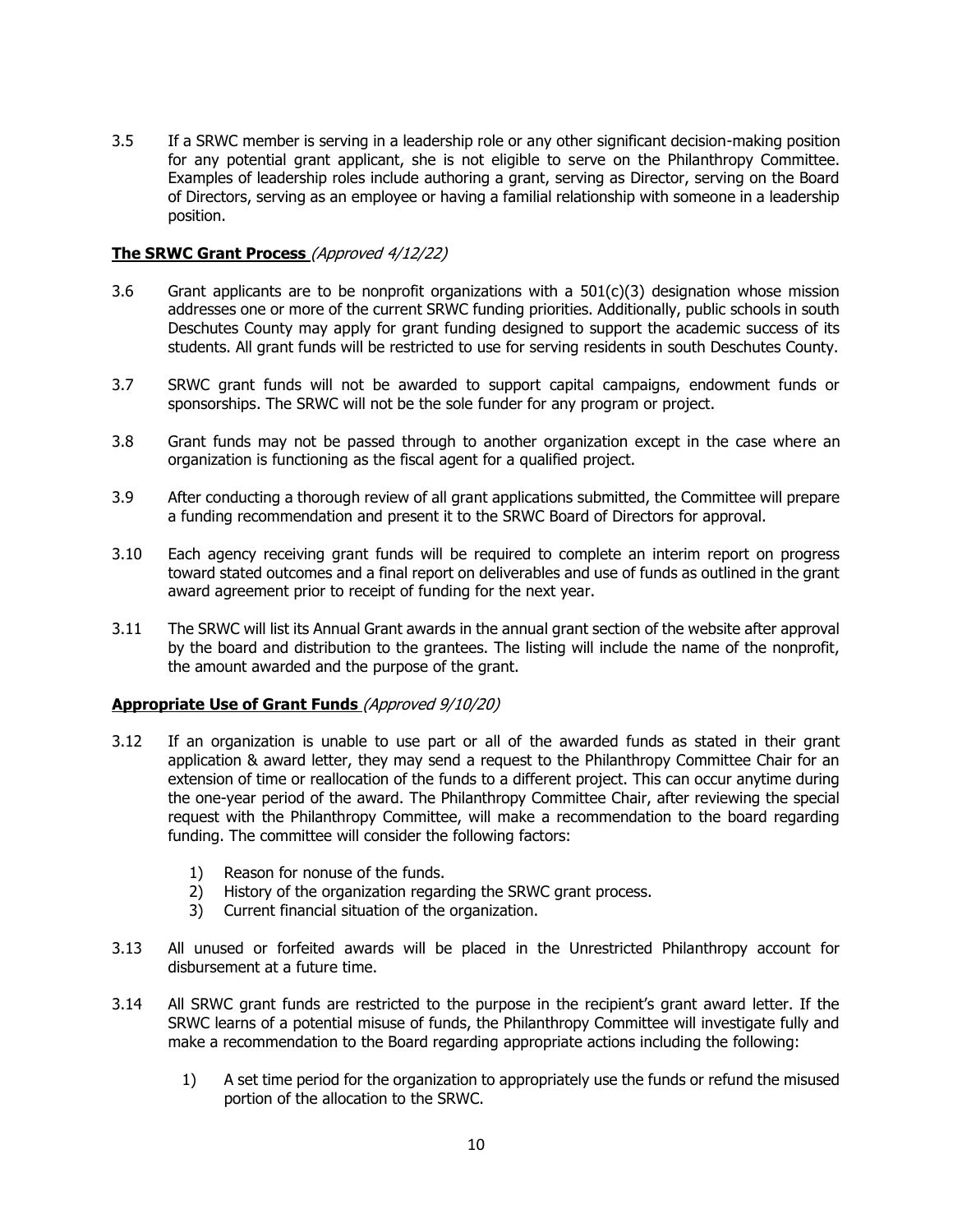3.5 If a SRWC member is serving in a leadership role or any other significant decision-making position for any potential grant applicant, she is not eligible to serve on the Philanthropy Committee. Examples of leadership roles include authoring a grant, serving as Director, serving on the Board of Directors, serving as an employee or having a familial relationship with someone in a leadership position.

#### **The SRWC Grant Process** (Approved 4/12/22)

- 3.6 Grant applicants are to be nonprofit organizations with a  $501(c)(3)$  designation whose mission addresses one or more of the current SRWC funding priorities. Additionally, public schools in south Deschutes County may apply for grant funding designed to support the academic success of its students. All grant funds will be restricted to use for serving residents in south Deschutes County.
- 3.7 SRWC grant funds will not be awarded to support capital campaigns, endowment funds or sponsorships. The SRWC will not be the sole funder for any program or project.
- 3.8 Grant funds may not be passed through to another organization except in the case where an organization is functioning as the fiscal agent for a qualified project.
- 3.9 After conducting a thorough review of all grant applications submitted, the Committee will prepare a funding recommendation and present it to the SRWC Board of Directors for approval.
- 3.10 Each agency receiving grant funds will be required to complete an interim report on progress toward stated outcomes and a final report on deliverables and use of funds as outlined in the grant award agreement prior to receipt of funding for the next year.
- 3.11 The SRWC will list its Annual Grant awards in the annual grant section of the website after approval by the board and distribution to the grantees. The listing will include the name of the nonprofit, the amount awarded and the purpose of the grant.

#### **Appropriate Use of Grant Funds** (Approved 9/10/20)

- 3.12 If an organization is unable to use part or all of the awarded funds as stated in their grant application & award letter, they may send a request to the Philanthropy Committee Chair for an extension of time or reallocation of the funds to a different project. This can occur anytime during the one-year period of the award. The Philanthropy Committee Chair, after reviewing the special request with the Philanthropy Committee, will make a recommendation to the board regarding funding. The committee will consider the following factors:
	- 1) Reason for nonuse of the funds.
	- 2) History of the organization regarding the SRWC grant process.
	- 3) Current financial situation of the organization.
- 3.13 All unused or forfeited awards will be placed in the Unrestricted Philanthropy account for disbursement at a future time.
- 3.14 All SRWC grant funds are restricted to the purpose in the recipient's grant award letter. If the SRWC learns of a potential misuse of funds, the Philanthropy Committee will investigate fully and make a recommendation to the Board regarding appropriate actions including the following:
	- 1) A set time period for the organization to appropriately use the funds or refund the misused portion of the allocation to the SRWC.